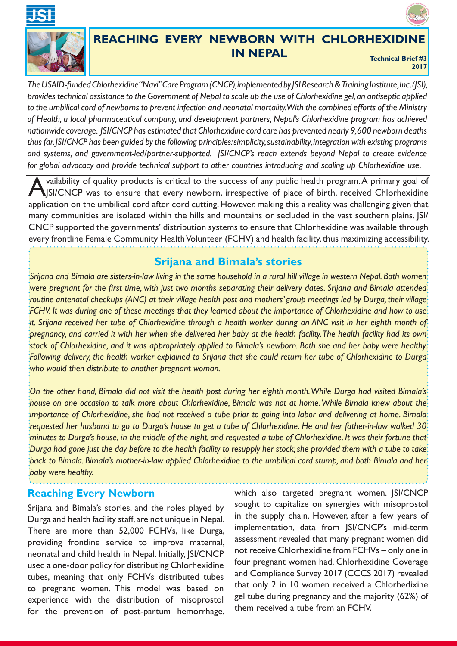



## **REACHING EVERY NEWBORN WITH CHLORHEXIDINE IN NEPAL Technical Brief #3**

**2017**

*The USAID-funded Chlorhexidine "Navi" Care Program (CNCP), implemented by JSI Research & Training Institute, Inc. (JSI), provides technical assistance to the Government of Nepal to scale up the use of Chlorhexidine gel, an antiseptic applied to the umbilical cord of newborns to prevent infection and neonatal mortality. With the combined efforts of the Ministry of Health, a local pharmaceutical company, and development partners, Nepal's Chlorhexidine program has achieved nationwide coverage. JSI/CNCP has estimated that Chlorhexidine cord care has prevented nearly 9,600 newborn deaths thus far. JSI/CNCP has been guided by the following principles: simplicity, sustainability, integration with existing programs and systems, and government-led/partner-supported. JSI/CNCP's reach extends beyond Nepal to create evidence for global advocacy and provide technical support to other countries introducing and scaling up Chlorhexidine use.*

vailability of quality products is critical to the success of any public health program. A primary goal of JSI/CNCP was to ensure that every newborn, irrespective of place of birth, received Chlorhexidine application on the umbilical cord after cord cutting. However, making this a reality was challenging given that many communities are isolated within the hills and mountains or secluded in the vast southern plains. JSI/ CNCP supported the governments' distribution systems to ensure that Chlorhexidine was available through every frontline Female Community Health Volunteer (FCHV) and health facility, thus maximizing accessibility.

## **Srijana and Bimala's stories**

*Srijana and Bimala are sisters-in-law living in the same household in a rural hill village in western Nepal. Both women were pregnant for the first time, with just two months separating their delivery dates. Srijana and Bimala attended routine antenatal checkups (ANC) at their village health post and mothers' group meetings led by Durga, their village FCHV. It was during one of these meetings that they learned about the importance of Chlorhexidine and how to use it. Srijana received her tube of Chlorhexidine through a health worker during an ANC visit in her eighth month of pregnancy, and carried it with her when she delivered her baby at the health facility. The health facility had its own stock of Chlorhexidine, and it was appropriately applied to Bimala's newborn. Both she and her baby were healthy. Following delivery, the health worker explained to Srijana that she could return her tube of Chlorhexidine to Durga who would then distribute to another pregnant woman.*

*On the other hand, Bimala did not visit the health post during her eighth month. While Durga had visited Bimala's house on one occasion to talk more about Chlorhexidine, Bimala was not at home. While Bimala knew about the*  importance of Chlorhexidine, she had not received a tube prior to going into labor and delivering at home. Bimala *requested her husband to go to Durga's house to get a tube of Chlorhexidine. He and her father-in-law walked 30 minutes to Durga's house, in the middle of the night, and requested a tube of Chlorhexidine. It was their fortune that Durga had gone just the day before to the health facility to resupply her stock;she provided them with a tube to take back to Bimala. Bimala's mother-in-law applied Chlorhexidine to the umbilical cord stump, and both Bimala and her baby were healthy.*

. . . . . . . . . . . . . . . . . .

## **Reaching Every Newborn**

Srijana and Bimala's stories, and the roles played by Durga and health facility staff, are not unique in Nepal. There are more than 52,000 FCHVs, like Durga, providing frontline service to improve maternal, neonatal and child health in Nepal. Initially, JSI/CNCP used a one-door policy for distributing Chlorhexidine tubes, meaning that only FCHVs distributed tubes to pregnant women. This model was based on experience with the distribution of misoprostol for the prevention of post-partum hemorrhage, which also targeted pregnant women. JSI/CNCP sought to capitalize on synergies with misoprostol in the supply chain. However, after a few years of implementation, data from JSI/CNCP's mid-term assessment revealed that many pregnant women did not receive Chlorhexidine from FCHVs – only one in four pregnant women had. Chlorhexidine Coverage and Compliance Survey 2017 (CCCS 2017) revealed that only 2 in 10 women received a Chlorhedixine gel tube during pregnancy and the majority (62%) of them received a tube from an FCHV.